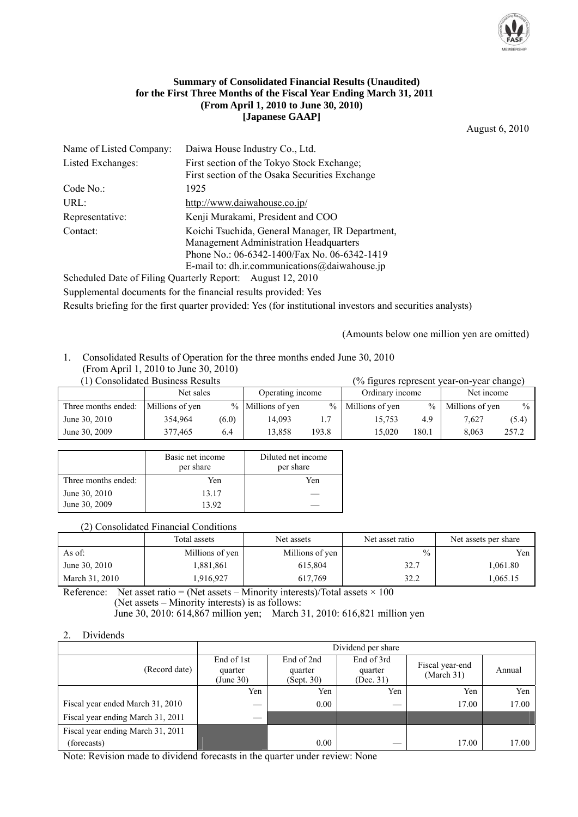

#### **Summary of Consolidated Financial Results (Unaudited) for the First Three Months of the Fiscal Year Ending March 31, 2011 (From April 1, 2010 to June 30, 2010) [Japanese GAAP]**

August 6, 2010

| Name of Listed Company: | Daiwa House Industry Co., Ltd.                   |
|-------------------------|--------------------------------------------------|
| Listed Exchanges:       | First section of the Tokyo Stock Exchange;       |
|                         | First section of the Osaka Securities Exchange   |
| Code No.                | 1925                                             |
| URL:                    | http://www.daiwahouse.co.jp/                     |
| Representative:         | Kenji Murakami, President and COO                |
| Contact:                | Koichi Tsuchida, General Manager, IR Department, |
|                         | <b>Management Administration Headquarters</b>    |
|                         | Phone No.: 06-6342-1400/Fax No. 06-6342-1419     |
|                         | E-mail to: dh.ir.communications@daiwahouse.jp    |

Scheduled Date of Filing Quarterly Report: August 12, 2010 Supplemental documents for the financial results provided: Yes Results briefing for the first quarter provided: Yes (for institutional investors and securities analysts)

(Amounts below one million yen are omitted)

1. Consolidated Results of Operation for the three months ended June 30, 2010 (From April 1, 2010 to June 30, 2010)

| (1) Consolidated Business Results   |           |       |                   |       |                     |       | (% figures represent year-on-year change) |       |
|-------------------------------------|-----------|-------|-------------------|-------|---------------------|-------|-------------------------------------------|-------|
|                                     | Net sales |       | Operating income  |       | Ordinary income     |       | Net income                                |       |
| Three months ended: Millions of yen |           |       | % Millions of yen |       | $%$ Millions of yen | $\%$  | Millions of yen                           | $\%$  |
| June 30, 2010                       | 354,964   | (6.0) | 14.093            | 1.7   | 15.753              | 4.9   | 7.627                                     | (5.4) |
| June 30, 2009                       | 377.465   | 6.4   | 13.858            | 193.8 | 15.020              | 180.1 | 8.063                                     | 257.2 |

|                     | Basic net income<br>per share | Diluted net income<br>per share |
|---------------------|-------------------------------|---------------------------------|
| Three months ended: | Yen                           | Yen                             |
| June 30, 2010       | 13 17                         |                                 |
| June 30, 2009       | 13.92                         |                                 |

# (2) Consolidated Financial Conditions

|                | Total assets    | Net assets      | Net asset ratio | Net assets per share |
|----------------|-----------------|-----------------|-----------------|----------------------|
| As of:         | Millions of yen | Millions of yen | $\%$            | Yen                  |
| June 30, 2010  | 1,881,861       | 615.804         | 32.7            | 1.061.80             |
| March 31, 2010 | .916.927        | 617.769         | 32.2            | 1.065.15             |

Reference: Net asset ratio = (Net assets – Minority interests)/Total assets  $\times$  100 (Net assets – Minority interests) is as follows:

June 30, 2010: 614,867 million yen; March 31, 2010: 616,821 million yen

2. Dividends

|                                   | Dividend per share                                                        |      |                                    |                               |        |  |  |
|-----------------------------------|---------------------------------------------------------------------------|------|------------------------------------|-------------------------------|--------|--|--|
| (Record date)                     | End of 2nd<br>End of 1st<br>quarter<br>quarter<br>(June 30)<br>(Sept. 30) |      | End of 3rd<br>quarter<br>(Dec. 31) | Fiscal year-end<br>(March 31) | Annual |  |  |
|                                   | Yen                                                                       | Yen  | Yen                                | Yen                           | Yen    |  |  |
| Fiscal year ended March 31, 2010  |                                                                           | 0.00 |                                    | 17.00                         | 17.00  |  |  |
| Fiscal year ending March 31, 2011 |                                                                           |      |                                    |                               |        |  |  |
| Fiscal year ending March 31, 2011 |                                                                           |      |                                    |                               |        |  |  |
| (forecasts)                       |                                                                           | 0.00 |                                    | 17.00                         | 17.00  |  |  |

Note: Revision made to dividend forecasts in the quarter under review: None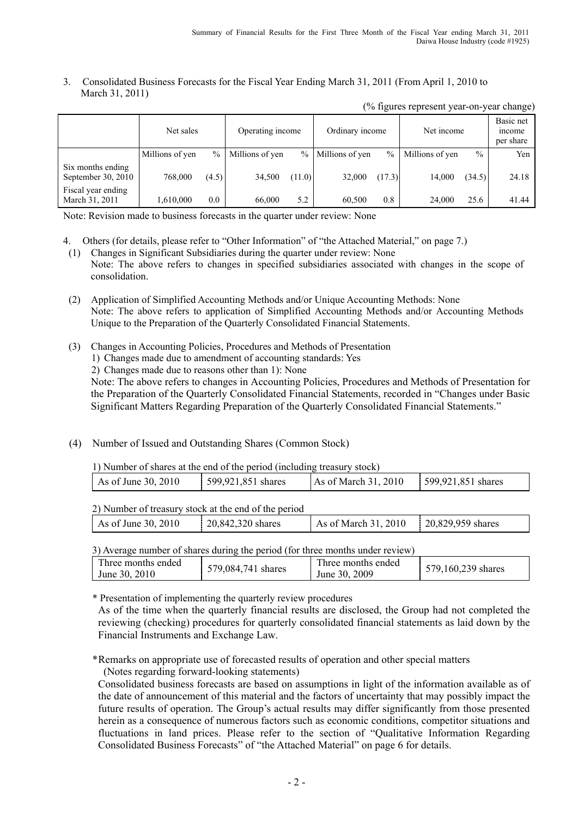#### 3. Consolidated Business Forecasts for the Fiscal Year Ending March 31, 2011 (From April 1, 2010 to March 31, 2011)

|                                           | Net sales       |               | Operating income |        | Ordinary income |        | Net income      |               | Basic net<br>income<br>per share |
|-------------------------------------------|-----------------|---------------|------------------|--------|-----------------|--------|-----------------|---------------|----------------------------------|
|                                           | Millions of yen | $\frac{0}{0}$ | Millions of yen  | $\%$   | Millions of yen | $\%$   | Millions of yen | $\frac{0}{0}$ | Yen                              |
| Six months ending<br>September 30, $2010$ | 768,000         | (4.5)         | 34,500           | (11.0) | 32,000          | (17.3) | 14,000          | (34.5)        | 24.18                            |
| Fiscal year ending<br>March 31, 2011      | 1,610,000       | 0.0           | 66,000           | 5.2    | 60.500          | 0.8    | 24,000          | 25.6          | 41.44                            |

(% figures represent year-on-year change)

Note: Revision made to business forecasts in the quarter under review: None

- 4. Others (for details, please refer to "Other Information" of "the Attached Material," on page 7.)
- (1) Changes in Significant Subsidiaries during the quarter under review: None Note: The above refers to changes in specified subsidiaries associated with changes in the scope of consolidation.
- (2) Application of Simplified Accounting Methods and/or Unique Accounting Methods: None Note: The above refers to application of Simplified Accounting Methods and/or Accounting Methods Unique to the Preparation of the Quarterly Consolidated Financial Statements.
- (3) Changes in Accounting Policies, Procedures and Methods of Presentation
	- 1) Changes made due to amendment of accounting standards: Yes
	- 2) Changes made due to reasons other than 1): None

 Note: The above refers to changes in Accounting Policies, Procedures and Methods of Presentation for the Preparation of the Quarterly Consolidated Financial Statements, recorded in "Changes under Basic Significant Matters Regarding Preparation of the Quarterly Consolidated Financial Statements."

(4) Number of Issued and Outstanding Shares (Common Stock)

| As of March 31, 2010<br>599,921,851 shares<br>599,921,851 shares<br>As of June 30, 2010 |  |  |  |
|-----------------------------------------------------------------------------------------|--|--|--|
|                                                                                         |  |  |  |

| 2) Number of treasury stock at the end of the period |                   |                      |                   |
|------------------------------------------------------|-------------------|----------------------|-------------------|
| As of June 30, 2010                                  | 20,842,320 shares | As of March 31, 2010 | 20,829,959 shares |

3) Average number of shares during the period (for three months under review)

| Three months ended<br>Three months ended<br>579,160,239 shares<br>579,084,741 shares<br>June 30, 2009<br>June 30, 2010 |  |  |  |  |
|------------------------------------------------------------------------------------------------------------------------|--|--|--|--|
|------------------------------------------------------------------------------------------------------------------------|--|--|--|--|

\* Presentation of implementing the quarterly review procedures

As of the time when the quarterly financial results are disclosed, the Group had not completed the reviewing (checking) procedures for quarterly consolidated financial statements as laid down by the Financial Instruments and Exchange Law.

\* Remarks on appropriate use of forecasted results of operation and other special matters (Notes regarding forward-looking statements)

Consolidated business forecasts are based on assumptions in light of the information available as of the date of announcement of this material and the factors of uncertainty that may possibly impact the future results of operation. The Group's actual results may differ significantly from those presented herein as a consequence of numerous factors such as economic conditions, competitor situations and fluctuations in land prices. Please refer to the section of "Qualitative Information Regarding Consolidated Business Forecasts" of "the Attached Material" on page 6 for details.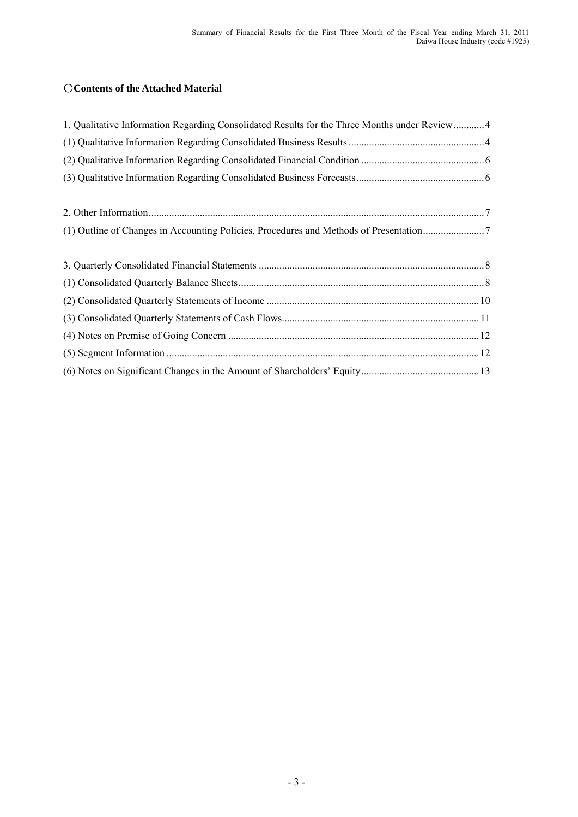# ○**Contents of the Attached Material**

| 1. Qualitative Information Regarding Consolidated Results for the Three Months under Review4 |  |
|----------------------------------------------------------------------------------------------|--|
|                                                                                              |  |
|                                                                                              |  |
|                                                                                              |  |
|                                                                                              |  |
|                                                                                              |  |
|                                                                                              |  |
|                                                                                              |  |
|                                                                                              |  |
|                                                                                              |  |
|                                                                                              |  |
|                                                                                              |  |
|                                                                                              |  |
|                                                                                              |  |
|                                                                                              |  |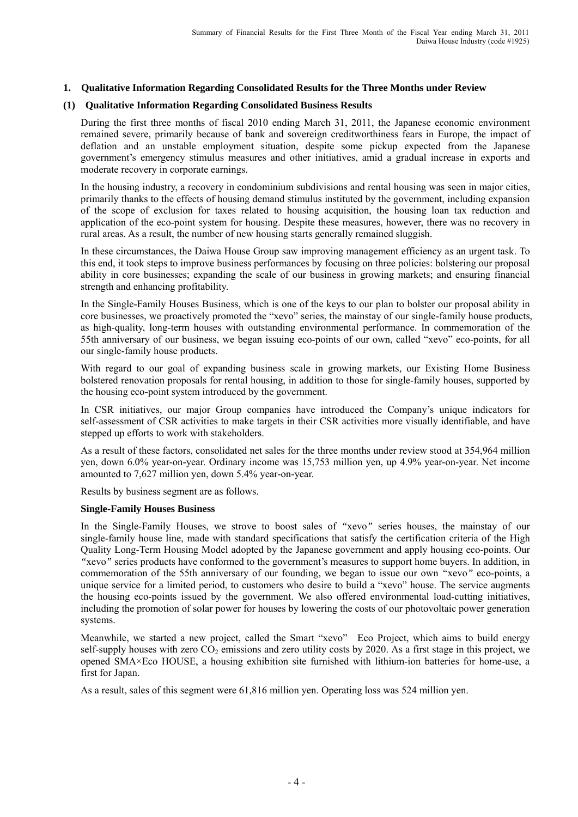#### **1. Qualitative Information Regarding Consolidated Results for the Three Months under Review**

#### **(1) Qualitative Information Regarding Consolidated Business Results**

During the first three months of fiscal 2010 ending March 31, 2011, the Japanese economic environment remained severe, primarily because of bank and sovereign creditworthiness fears in Europe, the impact of deflation and an unstable employment situation, despite some pickup expected from the Japanese government's emergency stimulus measures and other initiatives, amid a gradual increase in exports and moderate recovery in corporate earnings.

In the housing industry, a recovery in condominium subdivisions and rental housing was seen in major cities, primarily thanks to the effects of housing demand stimulus instituted by the government, including expansion of the scope of exclusion for taxes related to housing acquisition, the housing loan tax reduction and application of the eco-point system for housing. Despite these measures, however, there was no recovery in rural areas. As a result, the number of new housing starts generally remained sluggish.

In these circumstances, the Daiwa House Group saw improving management efficiency as an urgent task. To this end, it took steps to improve business performances by focusing on three policies: bolstering our proposal ability in core businesses; expanding the scale of our business in growing markets; and ensuring financial strength and enhancing profitability.

In the Single-Family Houses Business, which is one of the keys to our plan to bolster our proposal ability in core businesses, we proactively promoted the "xevo" series, the mainstay of our single-family house products, as high-quality, long-term houses with outstanding environmental performance. In commemoration of the 55th anniversary of our business, we began issuing eco-points of our own, called "xevo" eco-points, for all our single-family house products.

With regard to our goal of expanding business scale in growing markets, our Existing Home Business bolstered renovation proposals for rental housing, in addition to those for single-family houses, supported by the housing eco-point system introduced by the government.

In CSR initiatives, our major Group companies have introduced the Company's unique indicators for self-assessment of CSR activities to make targets in their CSR activities more visually identifiable, and have stepped up efforts to work with stakeholders.

As a result of these factors, consolidated net sales for the three months under review stood at 354,964 million yen, down 6.0% year-on-year. Ordinary income was 15,753 million yen, up 4.9% year-on-year. Net income amounted to 7,627 million yen, down 5.4% year-on-year.

Results by business segment are as follows.

#### **Single-Family Houses Business**

In the Single-Family Houses, we strove to boost sales of *"*xevo*"* series houses, the mainstay of our single-family house line, made with standard specifications that satisfy the certification criteria of the High Quality Long-Term Housing Model adopted by the Japanese government and apply housing eco-points. Our *"*xevo*"* series products have conformed to the government's measures to support home buyers. In addition, in commemoration of the 55th anniversary of our founding, we began to issue our own *"*xevo*"* eco-points, a unique service for a limited period, to customers who desire to build a "xevo" house. The service augments the housing eco-points issued by the government. We also offered environmental load-cutting initiatives, including the promotion of solar power for houses by lowering the costs of our photovoltaic power generation systems.

Meanwhile, we started a new project, called the Smart "xevo" Eco Project, which aims to build energy self-supply houses with zero  $CO<sub>2</sub>$  emissions and zero utility costs by 2020. As a first stage in this project, we opened SMA×Eco HOUSE, a housing exhibition site furnished with lithium-ion batteries for home-use, a first for Japan.

As a result, sales of this segment were 61,816 million yen. Operating loss was 524 million yen.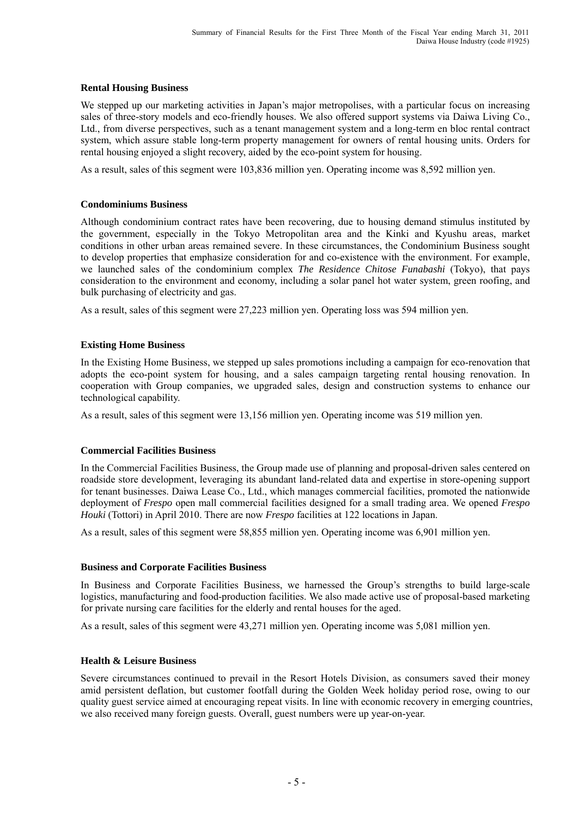#### **Rental Housing Business**

We stepped up our marketing activities in Japan's major metropolises, with a particular focus on increasing sales of three-story models and eco-friendly houses. We also offered support systems via Daiwa Living Co., Ltd., from diverse perspectives, such as a tenant management system and a long-term en bloc rental contract system, which assure stable long-term property management for owners of rental housing units. Orders for rental housing enjoyed a slight recovery, aided by the eco-point system for housing.

As a result, sales of this segment were 103,836 million yen. Operating income was 8,592 million yen.

## **Condominiums Business**

Although condominium contract rates have been recovering, due to housing demand stimulus instituted by the government, especially in the Tokyo Metropolitan area and the Kinki and Kyushu areas, market conditions in other urban areas remained severe. In these circumstances, the Condominium Business sought to develop properties that emphasize consideration for and co-existence with the environment. For example, we launched sales of the condominium complex *The Residence Chitose Funabashi* (Tokyo), that pays consideration to the environment and economy, including a solar panel hot water system, green roofing, and bulk purchasing of electricity and gas.

As a result, sales of this segment were 27,223 million yen. Operating loss was 594 million yen.

## **Existing Home Business**

In the Existing Home Business, we stepped up sales promotions including a campaign for eco-renovation that adopts the eco-point system for housing, and a sales campaign targeting rental housing renovation. In cooperation with Group companies, we upgraded sales, design and construction systems to enhance our technological capability.

As a result, sales of this segment were 13,156 million yen. Operating income was 519 million yen.

## **Commercial Facilities Business**

In the Commercial Facilities Business, the Group made use of planning and proposal-driven sales centered on roadside store development, leveraging its abundant land-related data and expertise in store-opening support for tenant businesses. Daiwa Lease Co., Ltd., which manages commercial facilities, promoted the nationwide deployment of *Frespo* open mall commercial facilities designed for a small trading area. We opened *Frespo Houki* (Tottori) in April 2010. There are now *Frespo* facilities at 122 locations in Japan.

As a result, sales of this segment were 58,855 million yen. Operating income was 6,901 million yen.

#### **Business and Corporate Facilities Business**

In Business and Corporate Facilities Business, we harnessed the Group's strengths to build large-scale logistics, manufacturing and food-production facilities. We also made active use of proposal-based marketing for private nursing care facilities for the elderly and rental houses for the aged.

As a result, sales of this segment were 43,271 million yen. Operating income was 5,081 million yen.

#### **Health & Leisure Business**

Severe circumstances continued to prevail in the Resort Hotels Division, as consumers saved their money amid persistent deflation, but customer footfall during the Golden Week holiday period rose, owing to our quality guest service aimed at encouraging repeat visits. In line with economic recovery in emerging countries, we also received many foreign guests. Overall, guest numbers were up year-on-year.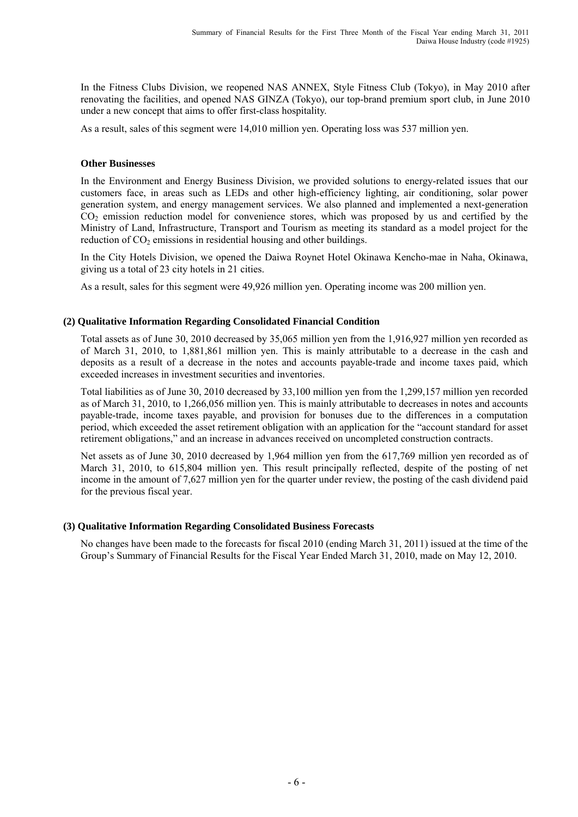In the Fitness Clubs Division, we reopened NAS ANNEX, Style Fitness Club (Tokyo), in May 2010 after renovating the facilities, and opened NAS GINZA (Tokyo), our top-brand premium sport club, in June 2010 under a new concept that aims to offer first-class hospitality.

As a result, sales of this segment were 14,010 million yen. Operating loss was 537 million yen.

#### **Other Businesses**

In the Environment and Energy Business Division, we provided solutions to energy-related issues that our customers face, in areas such as LEDs and other high-efficiency lighting, air conditioning, solar power generation system, and energy management services. We also planned and implemented a next-generation  $CO<sub>2</sub>$  emission reduction model for convenience stores, which was proposed by us and certified by the Ministry of Land, Infrastructure, Transport and Tourism as meeting its standard as a model project for the reduction of  $CO<sub>2</sub>$  emissions in residential housing and other buildings.

In the City Hotels Division, we opened the Daiwa Roynet Hotel Okinawa Kencho-mae in Naha, Okinawa, giving us a total of 23 city hotels in 21 cities.

As a result, sales for this segment were 49,926 million yen. Operating income was 200 million yen.

#### **(2) Qualitative Information Regarding Consolidated Financial Condition**

Total assets as of June 30, 2010 decreased by 35,065 million yen from the 1,916,927 million yen recorded as of March 31, 2010, to 1,881,861 million yen. This is mainly attributable to a decrease in the cash and deposits as a result of a decrease in the notes and accounts payable-trade and income taxes paid, which exceeded increases in investment securities and inventories.

Total liabilities as of June 30, 2010 decreased by 33,100 million yen from the 1,299,157 million yen recorded as of March 31, 2010, to 1,266,056 million yen. This is mainly attributable to decreases in notes and accounts payable-trade, income taxes payable, and provision for bonuses due to the differences in a computation period, which exceeded the asset retirement obligation with an application for the "account standard for asset retirement obligations," and an increase in advances received on uncompleted construction contracts.

Net assets as of June 30, 2010 decreased by 1,964 million yen from the 617,769 million yen recorded as of March 31, 2010, to 615,804 million yen. This result principally reflected, despite of the posting of net income in the amount of 7,627 million yen for the quarter under review, the posting of the cash dividend paid for the previous fiscal year.

#### **(3) Qualitative Information Regarding Consolidated Business Forecasts**

No changes have been made to the forecasts for fiscal 2010 (ending March 31, 2011) issued at the time of the Group's Summary of Financial Results for the Fiscal Year Ended March 31, 2010, made on May 12, 2010.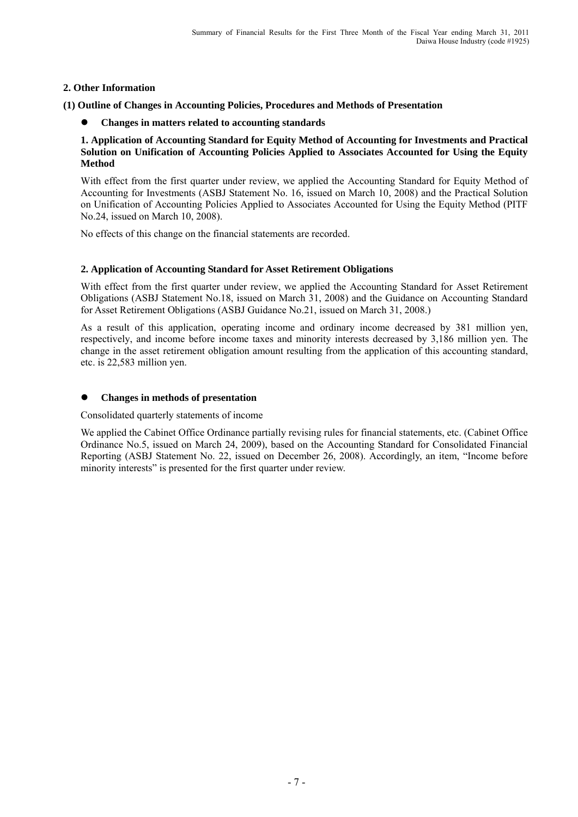## **2. Other Information**

**(1) Outline of Changes in Accounting Policies, Procedures and Methods of Presentation** 

**Changes in matters related to accounting standards** 

#### **1. Application of Accounting Standard for Equity Method of Accounting for Investments and Practical Solution on Unification of Accounting Policies Applied to Associates Accounted for Using the Equity Method**

With effect from the first quarter under review, we applied the Accounting Standard for Equity Method of Accounting for Investments (ASBJ Statement No. 16, issued on March 10, 2008) and the Practical Solution on Unification of Accounting Policies Applied to Associates Accounted for Using the Equity Method (PITF No.24, issued on March 10, 2008).

No effects of this change on the financial statements are recorded.

# **2. Application of Accounting Standard for Asset Retirement Obligations**

With effect from the first quarter under review, we applied the Accounting Standard for Asset Retirement Obligations (ASBJ Statement No.18, issued on March 31, 2008) and the Guidance on Accounting Standard for Asset Retirement Obligations (ASBJ Guidance No.21, issued on March 31, 2008.)

As a result of this application, operating income and ordinary income decreased by 381 million yen, respectively, and income before income taxes and minority interests decreased by 3,186 million yen. The change in the asset retirement obligation amount resulting from the application of this accounting standard, etc. is 22,583 million yen.

## **Changes in methods of presentation**

Consolidated quarterly statements of income

We applied the Cabinet Office Ordinance partially revising rules for financial statements, etc. (Cabinet Office Ordinance No.5, issued on March 24, 2009), based on the Accounting Standard for Consolidated Financial Reporting (ASBJ Statement No. 22, issued on December 26, 2008). Accordingly, an item, "Income before minority interests" is presented for the first quarter under review.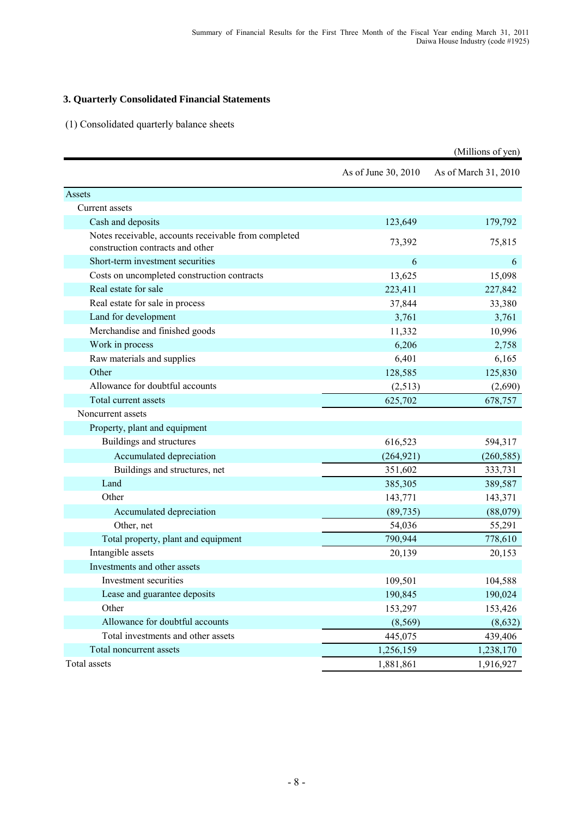# **3. Quarterly Consolidated Financial Statements**

(1) Consolidated quarterly balance sheets

|                                                                                          |                     | (Millions of yen)    |
|------------------------------------------------------------------------------------------|---------------------|----------------------|
|                                                                                          | As of June 30, 2010 | As of March 31, 2010 |
| Assets                                                                                   |                     |                      |
| Current assets                                                                           |                     |                      |
| Cash and deposits                                                                        | 123,649             | 179,792              |
| Notes receivable, accounts receivable from completed<br>construction contracts and other | 73,392              | 75,815               |
| Short-term investment securities                                                         | 6                   | 6                    |
| Costs on uncompleted construction contracts                                              | 13,625              | 15,098               |
| Real estate for sale                                                                     | 223,411             | 227,842              |
| Real estate for sale in process                                                          | 37,844              | 33,380               |
| Land for development                                                                     | 3,761               | 3,761                |
| Merchandise and finished goods                                                           | 11,332              | 10,996               |
| Work in process                                                                          | 6,206               | 2,758                |
| Raw materials and supplies                                                               | 6,401               | 6,165                |
| Other                                                                                    | 128,585             | 125,830              |
| Allowance for doubtful accounts                                                          | (2,513)             | (2,690)              |
| Total current assets                                                                     | 625,702             | 678,757              |
| Noncurrent assets                                                                        |                     |                      |
| Property, plant and equipment                                                            |                     |                      |
| Buildings and structures                                                                 | 616,523             | 594,317              |
| Accumulated depreciation                                                                 | (264, 921)          | (260, 585)           |
| Buildings and structures, net                                                            | 351,602             | 333,731              |
| Land                                                                                     | 385,305             | 389,587              |
| Other                                                                                    | 143,771             | 143,371              |
| Accumulated depreciation                                                                 | (89, 735)           | (88,079)             |
| Other, net                                                                               | 54,036              | 55,291               |
| Total property, plant and equipment                                                      | 790,944             | 778,610              |
| Intangible assets                                                                        | 20,139              | 20,153               |
| Investments and other assets                                                             |                     |                      |
| Investment securities                                                                    | 109,501             | 104,588              |
| Lease and guarantee deposits                                                             | 190,845             | 190,024              |
| Other                                                                                    | 153,297             | 153,426              |
| Allowance for doubtful accounts                                                          | (8, 569)            | (8,632)              |
| Total investments and other assets                                                       | 445,075             | 439,406              |
| Total noncurrent assets                                                                  | 1,256,159           | 1,238,170            |
| Total assets                                                                             | 1,881,861           | 1,916,927            |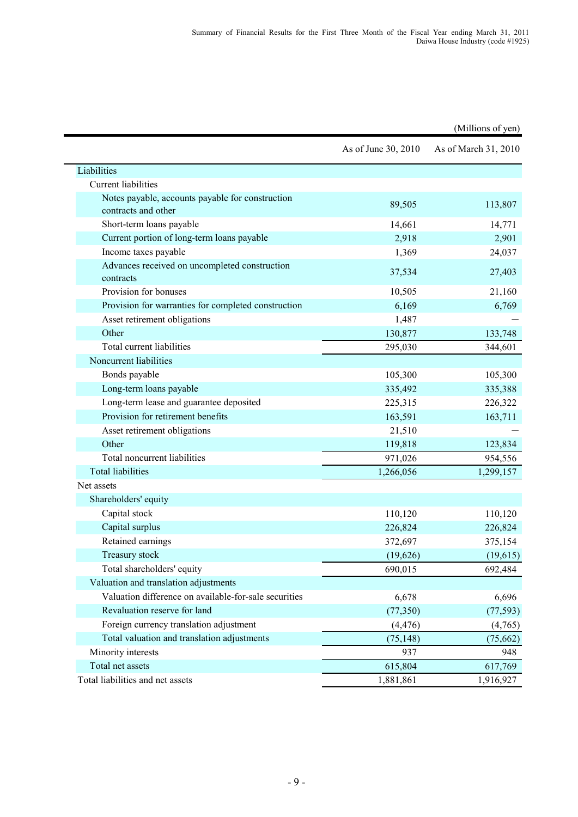|                                                                         |                     | (Millions of yen)    |
|-------------------------------------------------------------------------|---------------------|----------------------|
|                                                                         | As of June 30, 2010 | As of March 31, 2010 |
| Liabilities                                                             |                     |                      |
| <b>Current liabilities</b>                                              |                     |                      |
| Notes payable, accounts payable for construction<br>contracts and other | 89,505              | 113,807              |
| Short-term loans payable                                                | 14,661              | 14,771               |
| Current portion of long-term loans payable                              | 2,918               | 2,901                |
| Income taxes payable                                                    | 1,369               | 24,037               |
| Advances received on uncompleted construction<br>contracts              | 37,534              | 27,403               |
| Provision for bonuses                                                   | 10,505              | 21,160               |
| Provision for warranties for completed construction                     | 6,169               | 6,769                |
| Asset retirement obligations                                            | 1,487               |                      |
| Other                                                                   | 130,877             | 133,748              |
| Total current liabilities                                               | 295,030             | 344,601              |
| Noncurrent liabilities                                                  |                     |                      |
| Bonds payable                                                           | 105,300             | 105,300              |
| Long-term loans payable                                                 | 335,492             | 335,388              |
| Long-term lease and guarantee deposited                                 | 225,315             | 226,322              |
| Provision for retirement benefits                                       | 163,591             | 163,711              |
| Asset retirement obligations                                            | 21,510              |                      |
| Other                                                                   | 119,818             | 123,834              |
| Total noncurrent liabilities                                            | 971,026             | 954,556              |
| <b>Total liabilities</b>                                                | 1,266,056           | 1,299,157            |
| Net assets                                                              |                     |                      |
| Shareholders' equity                                                    |                     |                      |
| Capital stock                                                           | 110,120             | 110,120              |
| Capital surplus                                                         | 226,824             | 226,824              |
| Retained earnings                                                       | 372,697             | 375,154              |
| <b>Treasury stock</b>                                                   | (19, 626)           | (19,615)             |
| Total shareholders' equity                                              | 690,015             | 692,484              |
| Valuation and translation adjustments                                   |                     |                      |
| Valuation difference on available-for-sale securities                   | 6,678               | 6,696                |
| Revaluation reserve for land                                            | (77, 350)           | (77, 593)            |
| Foreign currency translation adjustment                                 | (4, 476)            | (4,765)              |
| Total valuation and translation adjustments                             | (75, 148)           | (75, 662)            |
| Minority interests                                                      | 937                 | 948                  |
| Total net assets                                                        | 615,804             | 617,769              |
| Total liabilities and net assets                                        | 1,881,861           | 1,916,927            |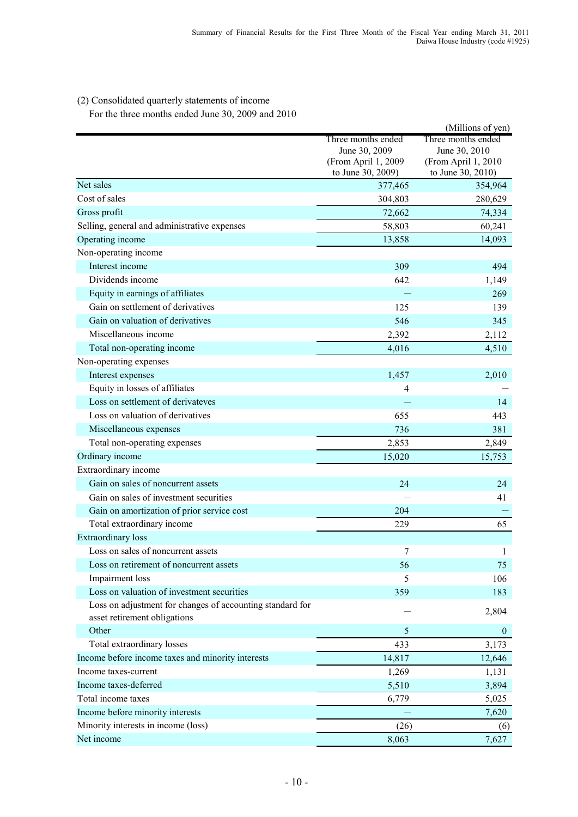# (2) Consolidated quarterly statements of income

For the three months ended June 30, 2009 and 2010

|                                                           |                                     | (Millions of yen)                   |
|-----------------------------------------------------------|-------------------------------------|-------------------------------------|
|                                                           | Three months ended<br>June 30, 2009 | Three months ended<br>June 30, 2010 |
|                                                           | (From April 1, 2009                 | (From April 1, 2010                 |
|                                                           | to June 30, 2009)                   | to June 30, 2010)                   |
| Net sales                                                 | 377,465                             | 354,964                             |
| Cost of sales                                             | 304,803                             | 280,629                             |
| Gross profit                                              | 72,662                              | 74,334                              |
| Selling, general and administrative expenses              | 58,803                              | 60,241                              |
| Operating income                                          | 13,858                              | 14,093                              |
| Non-operating income                                      |                                     |                                     |
| Interest income                                           | 309                                 | 494                                 |
| Dividends income                                          | 642                                 | 1,149                               |
| Equity in earnings of affiliates                          |                                     | 269                                 |
| Gain on settlement of derivatives                         | 125                                 | 139                                 |
| Gain on valuation of derivatives                          | 546                                 | 345                                 |
| Miscellaneous income                                      | 2,392                               | 2,112                               |
| Total non-operating income                                | 4,016                               | 4,510                               |
| Non-operating expenses                                    |                                     |                                     |
| Interest expenses                                         | 1,457                               | 2,010                               |
| Equity in losses of affiliates                            | 4                                   |                                     |
| Loss on settlement of derivateves                         |                                     | 14                                  |
| Loss on valuation of derivatives                          | 655                                 | 443                                 |
| Miscellaneous expenses                                    | 736                                 | 381                                 |
| Total non-operating expenses                              | 2,853                               | 2,849                               |
| Ordinary income                                           | 15,020                              | 15,753                              |
| Extraordinary income                                      |                                     |                                     |
| Gain on sales of noncurrent assets                        | 24                                  | 24                                  |
| Gain on sales of investment securities                    |                                     | 41                                  |
| Gain on amortization of prior service cost                | 204                                 |                                     |
| Total extraordinary income                                | 229                                 | 65                                  |
| <b>Extraordinary</b> loss                                 |                                     |                                     |
| Loss on sales of noncurrent assets                        | 7                                   | $\mathbf{1}$                        |
| Loss on retirement of noncurrent assets                   | 56                                  | 75                                  |
| Impairment loss                                           | 5                                   | 106                                 |
| Loss on valuation of investment securities                | 359                                 | 183                                 |
| Loss on adjustment for changes of accounting standard for |                                     |                                     |
| asset retirement obligations                              |                                     | 2,804                               |
| Other                                                     | 5                                   | $\theta$                            |
| Total extraordinary losses                                | 433                                 | 3,173                               |
| Income before income taxes and minority interests         | 14,817                              | 12,646                              |
| Income taxes-current                                      | 1,269                               | 1,131                               |
| Income taxes-deferred                                     | 5,510                               | 3,894                               |
| Total income taxes                                        | 6,779                               | 5,025                               |
| Income before minority interests                          |                                     | 7,620                               |
| Minority interests in income (loss)                       | (26)                                | (6)                                 |
| Net income                                                | 8,063                               | 7,627                               |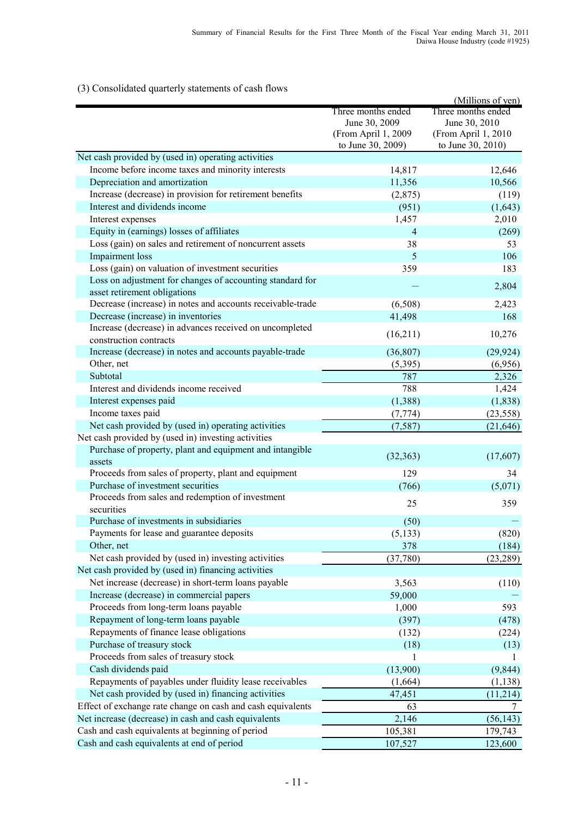# (3) Consolidated quarterly statements of cash flows

|                                                             |                     | (Millions of yen)   |
|-------------------------------------------------------------|---------------------|---------------------|
|                                                             | Three months ended  | Three months ended  |
|                                                             | June 30, 2009       | June 30, 2010       |
|                                                             | (From April 1, 2009 | (From April 1, 2010 |
|                                                             | to June 30, 2009)   | to June 30, 2010)   |
| Net cash provided by (used in) operating activities         |                     |                     |
| Income before income taxes and minority interests           | 14,817              | 12,646              |
| Depreciation and amortization                               | 11,356              | 10,566              |
| Increase (decrease) in provision for retirement benefits    | (2,875)             | (119)               |
| Interest and dividends income                               | (951)               | (1,643)             |
| Interest expenses                                           | 1,457               | 2,010               |
| Equity in (earnings) losses of affiliates                   | $\overline{4}$      | (269)               |
| Loss (gain) on sales and retirement of noncurrent assets    | 38                  | 53                  |
| <b>Impairment</b> loss                                      | 5                   | 106                 |
| Loss (gain) on valuation of investment securities           | 359                 | 183                 |
| Loss on adjustment for changes of accounting standard for   |                     |                     |
| asset retirement obligations                                |                     | 2,804               |
| Decrease (increase) in notes and accounts receivable-trade  | (6,508)             | 2,423               |
| Decrease (increase) in inventories                          | 41,498              | 168                 |
| Increase (decrease) in advances received on uncompleted     |                     |                     |
| construction contracts                                      | (16,211)            | 10,276              |
| Increase (decrease) in notes and accounts payable-trade     | (36, 807)           | (29, 924)           |
| Other, net                                                  | (5,395)             | (6,956)             |
| Subtotal                                                    | 787                 | 2,326               |
| Interest and dividends income received                      | 788                 | 1,424               |
|                                                             |                     |                     |
| Interest expenses paid                                      | (1,388)             | (1, 838)            |
| Income taxes paid                                           | (7, 774)            | (23, 558)           |
| Net cash provided by (used in) operating activities         | (7, 587)            | (21, 646)           |
| Net cash provided by (used in) investing activities         |                     |                     |
| Purchase of property, plant and equipment and intangible    | (32, 363)           | (17,607)            |
| assets                                                      |                     |                     |
| Proceeds from sales of property, plant and equipment        | 129                 | 34                  |
| Purchase of investment securities                           | (766)               | (5,071)             |
| Proceeds from sales and redemption of investment            | 25                  | 359                 |
| securities                                                  |                     |                     |
| Purchase of investments in subsidiaries                     | (50)                |                     |
| Payments for lease and guarantee deposits                   | (5, 133)            | (820)               |
| Other, net                                                  | 378                 | (184)               |
| Net cash provided by (used in) investing activities         | (37,780)            | (23, 289)           |
| Net cash provided by (used in) financing activities         |                     |                     |
| Net increase (decrease) in short-term loans payable         | 3,563               | (110)               |
| Increase (decrease) in commercial papers                    | 59,000              |                     |
| Proceeds from long-term loans payable                       | 1,000               | 593                 |
| Repayment of long-term loans payable                        | (397)               | (478)               |
| Repayments of finance lease obligations                     | (132)               | (224)               |
| Purchase of treasury stock                                  | (18)                | (13)                |
| Proceeds from sales of treasury stock                       | 1                   | 1                   |
| Cash dividends paid                                         | (13,900)            | (9, 844)            |
| Repayments of payables under fluidity lease receivables     | (1,664)             | (1, 138)            |
| Net cash provided by (used in) financing activities         | 47,451              | (11, 214)           |
| Effect of exchange rate change on cash and cash equivalents | 63                  | 7                   |
| Net increase (decrease) in cash and cash equivalents        | 2,146               | (56, 143)           |
| Cash and cash equivalents at beginning of period            | 105,381             | 179,743             |
| Cash and cash equivalents at end of period                  | 107,527             | 123,600             |
|                                                             |                     |                     |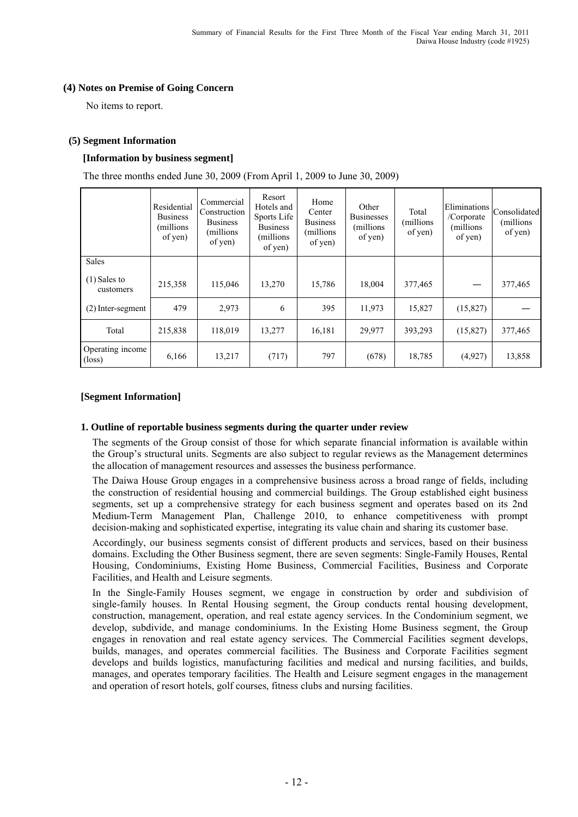#### **(4) Notes on Premise of Going Concern**

No items to report.

## **(5) Segment Information**

## **[Information by business segment]**

The three months ended June 30, 2009 (From April 1, 2009 to June 30, 2009)

|                                     | Residential<br><b>Business</b><br>(millions)<br>of yen) | Commercial<br>Construction<br><b>Business</b><br>(millions)<br>of yen) | Resort<br>Hotels and<br>Sports Life<br><b>Business</b><br>(millions)<br>of yen) | Home<br>Center<br><b>Business</b><br>(millions)<br>of yen) | Other<br><b>Businesses</b><br>(millions)<br>of yen) | Total<br>millions)<br>of yen) | Eliminations<br>/Corporate<br>(millions<br>of yen) | Consolidated<br>millions)<br>of yen) |
|-------------------------------------|---------------------------------------------------------|------------------------------------------------------------------------|---------------------------------------------------------------------------------|------------------------------------------------------------|-----------------------------------------------------|-------------------------------|----------------------------------------------------|--------------------------------------|
| <b>Sales</b>                        |                                                         |                                                                        |                                                                                 |                                                            |                                                     |                               |                                                    |                                      |
| $(1)$ Sales to<br>customers         | 215,358                                                 | 115,046                                                                | 13,270                                                                          | 15,786                                                     | 18,004                                              | 377,465                       |                                                    | 377,465                              |
| $(2)$ Inter-segment                 | 479                                                     | 2,973                                                                  | 6                                                                               | 395                                                        | 11,973                                              | 15,827                        | (15,827)                                           |                                      |
| Total                               | 215,838                                                 | 118,019                                                                | 13,277                                                                          | 16,181                                                     | 29,977                                              | 393,293                       | (15,827)                                           | 377,465                              |
| Operating income<br>$(\text{loss})$ | 6,166                                                   | 13,217                                                                 | (717)                                                                           | 797                                                        | (678)                                               | 18,785                        | (4,927)                                            | 13,858                               |

## **[Segment Information]**

#### **1. Outline of reportable business segments during the quarter under review**

The segments of the Group consist of those for which separate financial information is available within the Group's structural units. Segments are also subject to regular reviews as the Management determines the allocation of management resources and assesses the business performance.

The Daiwa House Group engages in a comprehensive business across a broad range of fields, including the construction of residential housing and commercial buildings. The Group established eight business segments, set up a comprehensive strategy for each business segment and operates based on its 2nd Medium-Term Management Plan, Challenge 2010, to enhance competitiveness with prompt decision-making and sophisticated expertise, integrating its value chain and sharing its customer base.

Accordingly, our business segments consist of different products and services, based on their business domains. Excluding the Other Business segment, there are seven segments: Single-Family Houses, Rental Housing, Condominiums, Existing Home Business, Commercial Facilities, Business and Corporate Facilities, and Health and Leisure segments.

In the Single-Family Houses segment, we engage in construction by order and subdivision of single-family houses. In Rental Housing segment, the Group conducts rental housing development, construction, management, operation, and real estate agency services. In the Condominium segment, we develop, subdivide, and manage condominiums. In the Existing Home Business segment, the Group engages in renovation and real estate agency services. The Commercial Facilities segment develops, builds, manages, and operates commercial facilities. The Business and Corporate Facilities segment develops and builds logistics, manufacturing facilities and medical and nursing facilities, and builds, manages, and operates temporary facilities. The Health and Leisure segment engages in the management and operation of resort hotels, golf courses, fitness clubs and nursing facilities.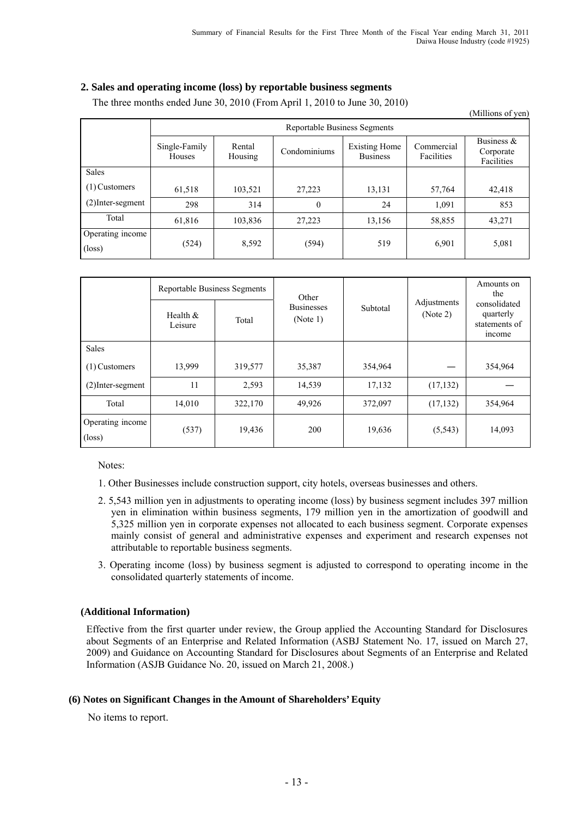# **2. Sales and operating income (loss) by reportable business segments**

|                                     |                                     |                   |              |                                         |                          | (Millions of yen)                        |  |
|-------------------------------------|-------------------------------------|-------------------|--------------|-----------------------------------------|--------------------------|------------------------------------------|--|
|                                     | <b>Reportable Business Segments</b> |                   |              |                                         |                          |                                          |  |
|                                     | Single-Family<br>Houses             | Rental<br>Housing | Condominiums | <b>Existing Home</b><br><b>Business</b> | Commercial<br>Facilities | Business $\&$<br>Corporate<br>Facilities |  |
| <b>Sales</b>                        |                                     |                   |              |                                         |                          |                                          |  |
| $(1)$ Customers                     | 61,518                              | 103,521           | 27,223       | 13,131                                  | 57,764                   | 42,418                                   |  |
| $(2)$ Inter-segment                 | 298                                 | 314               | $\theta$     | 24                                      | 1,091                    | 853                                      |  |
| Total                               | 61,816                              | 103,836           | 27,223       | 13,156                                  | 58,855                   | 43,271                                   |  |
| Operating income<br>$(\text{loss})$ | (524)                               | 8,592             | (594)        | 519                                     | 6,901                    | 5,081                                    |  |

The three months ended June 30, 2010 (From April 1, 2010 to June 30, 2010)

|                                     | Reportable Business Segments |         | Other                         |          |                         | Amounts on<br>the                                           |
|-------------------------------------|------------------------------|---------|-------------------------------|----------|-------------------------|-------------------------------------------------------------|
|                                     | Health $&$<br>Leisure        | Total   | <b>Businesses</b><br>(Note 1) | Subtotal | Adjustments<br>(Note 2) | consolidated<br>quarterly<br>statements of<br><i>n</i> come |
| <b>Sales</b>                        |                              |         |                               |          |                         |                                                             |
| $(1)$ Customers                     | 13,999                       | 319,577 | 35,387                        | 354,964  |                         | 354,964                                                     |
| $(2)$ Inter-segment                 | 11                           | 2,593   | 14,539                        | 17,132   | (17, 132)               |                                                             |
| Total                               | 14,010                       | 322,170 | 49,926                        | 372,097  | (17, 132)               | 354,964                                                     |
| Operating income<br>$(\text{loss})$ | (537)                        | 19,436  | 200                           | 19,636   | (5, 543)                | 14,093                                                      |

Notes:

1. Other Businesses include construction support, city hotels, overseas businesses and others.

- 2. 5,543 million yen in adjustments to operating income (loss) by business segment includes 397 million yen in elimination within business segments, 179 million yen in the amortization of goodwill and 5,325 million yen in corporate expenses not allocated to each business segment. Corporate expenses mainly consist of general and administrative expenses and experiment and research expenses not attributable to reportable business segments.
- 3. Operating income (loss) by business segment is adjusted to correspond to operating income in the consolidated quarterly statements of income.

# **(Additional Information)**

Effective from the first quarter under review, the Group applied the Accounting Standard for Disclosures about Segments of an Enterprise and Related Information (ASBJ Statement No. 17, issued on March 27, 2009) and Guidance on Accounting Standard for Disclosures about Segments of an Enterprise and Related Information (ASJB Guidance No. 20, issued on March 21, 2008.)

# **(6) Notes on Significant Changes in the Amount of Shareholders' Equity**

No items to report.